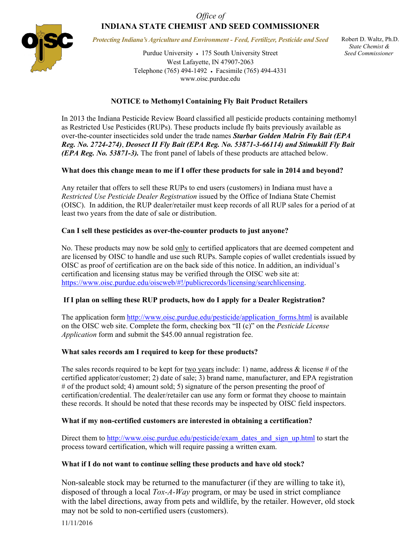# *Office of*  **INDIANA STATE CHEMIST AND SEED COMMISSIONER**



*Protecting Indiana's Agriculture and Environment - Feed, Fertilizer, Pesticide and Seed* 

Purdue University • 175 South University Street West Lafayette, IN 47907-2063 Telephone (765) 494-1492 Facsimile (765) 494-4331 www.oisc.purdue.edu

 Robert D. Waltz, Ph.D.  *State Chemist & Seed Commissioner*

## **NOTICE to Methomyl Containing Fly Bait Product Retailers**

In 2013 the Indiana Pesticide Review Board classified all pesticide products containing methomyl as Restricted Use Pesticides (RUPs). These products include fly baits previously available as over-the-counter insecticides sold under the trade names *Starbar Golden Malrin Fly Bait (EPA Reg. No. 2724-274)*, *Deosect II Fly Bait (EPA Reg. No. 53871-3-66114) and Stimukill Fly Bait (EPA Reg. No. 53871-3).* The front panel of labels of these products are attached below.

### **What does this change mean to me if I offer these products for sale in 2014 and beyond?**

Any retailer that offers to sell these RUPs to end users (customers) in Indiana must have a *Restricted Use Pesticide Dealer Registration* issued by the Office of Indiana State Chemist (OISC). In addition, the RUP dealer/retailer must keep records of all RUP sales for a period of at least two years from the date of sale or distribution.

#### **Can I sell these pesticides as over-the-counter products to just anyone?**

No. These products may now be sold only to certified applicators that are deemed competent and are licensed by OISC to handle and use such RUPs. Sample copies of wallet credentials issued by OISC as proof of certification are on the back side of this notice. In addition, an individual's certification and licensing status may be verified through the OISC web site at: https://www.oisc.purdue.edu/oiscweb/#!/publicrecords/licensing/searchlicensing.

### **If I plan on selling these RUP products, how do I apply for a Dealer Registration?**

The application form http://www.oisc.purdue.edu/pesticide/application forms.html is available on the OISC web site. Complete the form, checking box "II (c)" on the *Pesticide License Application* form and submit the \$45.00 annual registration fee.

### **What sales records am I required to keep for these products?**

The sales records required to be kept for two years include: 1) name, address  $\&$  license # of the certified applicator/customer; 2) date of sale; 3) brand name, manufacturer, and EPA registration # of the product sold; 4) amount sold; 5) signature of the person presenting the proof of certification/credential. The dealer/retailer can use any form or format they choose to maintain these records. It should be noted that these records may be inspected by OISC field inspectors.

### **What if my non-certified customers are interested in obtaining a certification?**

Direct them to http://www.oisc.purdue.edu/pesticide/exam\_dates\_and\_sign\_up.html to start the process toward certification, which will require passing a written exam.

### **What if I do not want to continue selling these products and have old stock?**

Non-saleable stock may be returned to the manufacturer (if they are willing to take it), disposed of through a local *Tox-A-Way* program, or may be used in strict compliance with the label directions, away from pets and wildlife, by the retailer. However, old stock may not be sold to non-certified users (customers).

11/11/2016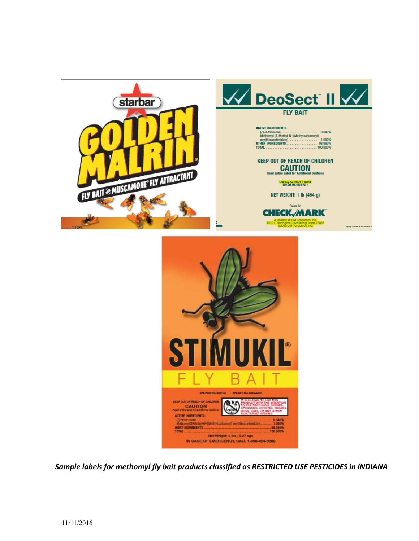



*Sample labels for methomyl fly bait products classified as RESTRICTED USE PESTICIDES in INDIANA*